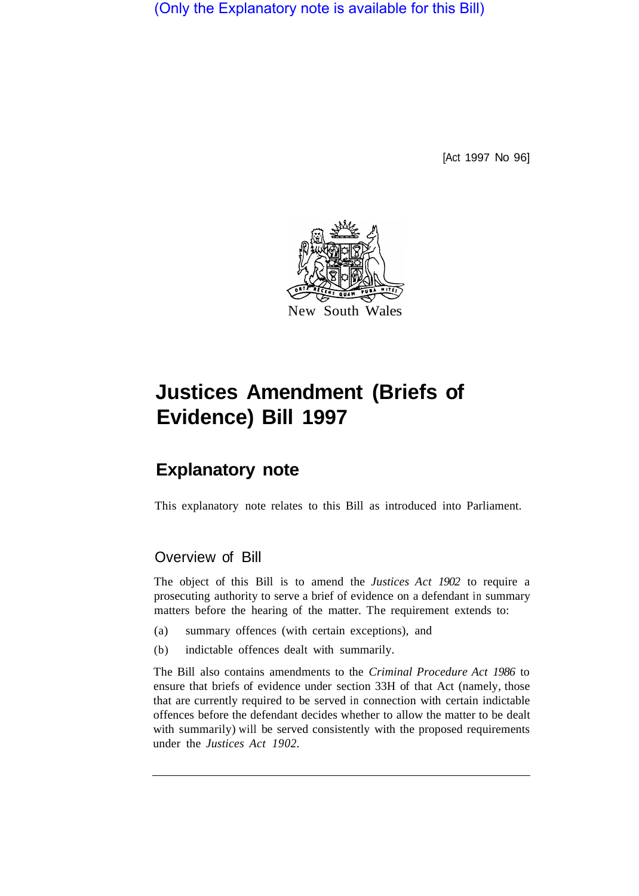(Only the Explanatory note is available for this Bill)

[Act 1997 No 96]



## **Justices Amendment (Briefs of Evidence) Bill 1997**

## **Explanatory note**

This explanatory note relates to this Bill as introduced into Parliament.

## Overview of Bill

The object of this Bill is to amend the *Justices Act 1902* to require a prosecuting authority to serve a brief of evidence on a defendant in summary matters before the hearing of the matter. The requirement extends to:

- (a) summary offences (with certain exceptions), and
- (b) indictable offences dealt with summarily.

The Bill also contains amendments to the *Criminal Procedure Act 1986* to ensure that briefs of evidence under section 33H of that Act (namely, those that are currently required to be served in connection with certain indictable offences before the defendant decides whether to allow the matter to be dealt with summarily) will be served consistently with the proposed requirements under the *Justices Act 1902.*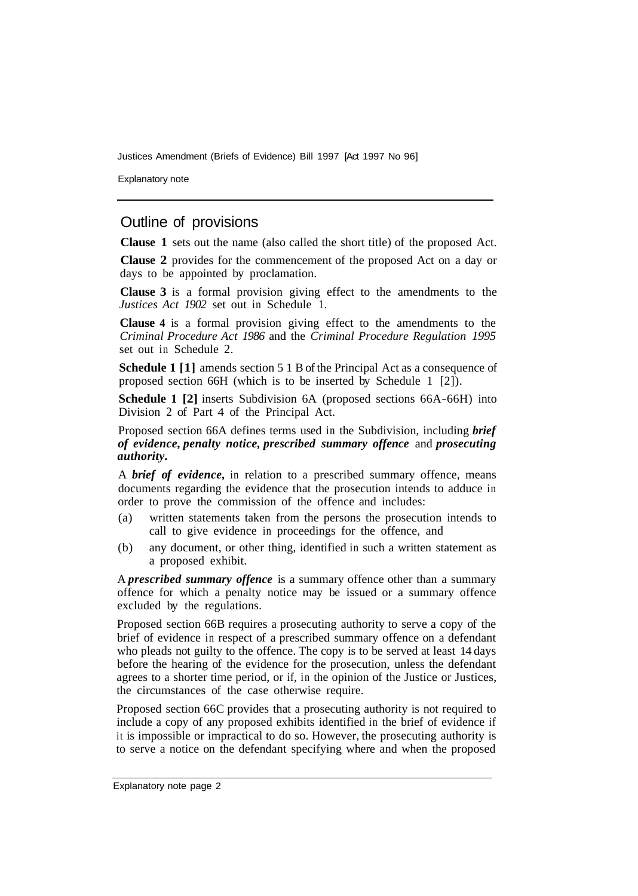Justices Amendment (Briefs of Evidence) Bill 1997 [Act 1997 No 96]

Explanatory note

## Outline of provisions

**Clause 1** sets out the name (also called the short title) of the proposed Act.

**Clause 2** provides for the commencement of the proposed Act on a day or days to be appointed by proclamation.

**Clause 3** is a formal provision giving effect to the amendments to the *Justices Act 1902* set out in Schedule 1.

**Clause 4** is a formal provision giving effect to the amendments to the *Criminal Procedure Act 1986* and the *Criminal Procedure Regulation 1995*  set out in Schedule 2.

**Schedule 1** [1] amends section 5 1 B of the Principal Act as a consequence of proposed section 66H (which is to be inserted by Schedule 1 [2]).

**Schedule 1 [2]** inserts Subdivision 6A (proposed sections 66A-66H) into Division 2 of Part 4 of the Principal Act.

Proposed section 66A defines terms used in the Subdivision, including *brief of evidence, penalty notice, prescribed summary offence* and *prosecuting authority.* 

A *brief of evidence,* in relation to a prescribed summary offence, means documents regarding the evidence that the prosecution intends to adduce in order to prove the commission of the offence and includes:

- (a) written statements taken from the persons the prosecution intends to call to give evidence in proceedings for the offence, and
- (b) any document, or other thing, identified in such a written statement as a proposed exhibit.

A *prescribed summary offence* is a summary offence other than a summary offence for which a penalty notice may be issued or a summary offence excluded by the regulations.

Proposed section 66B requires a prosecuting authority to serve a copy of the brief of evidence in respect of a prescribed summary offence on a defendant who pleads not guilty to the offence. The copy is to be served at least 14 days before the hearing of the evidence for the prosecution, unless the defendant agrees to a shorter time period, or if, in the opinion of the Justice or Justices, the circumstances of the case otherwise require.

Proposed section 66C provides that a prosecuting authority is not required to include a copy of any proposed exhibits identified in the brief of evidence if it is impossible or impractical to do so. However, the prosecuting authority is to serve a notice on the defendant specifying where and when the proposed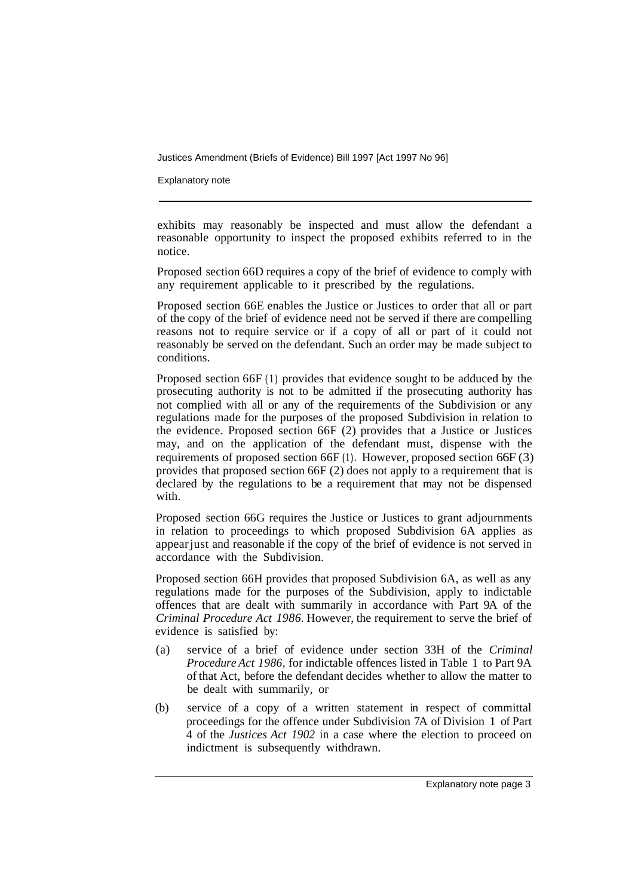Justices Amendment (Briefs of Evidence) Bill 1997 [Act 1997 No 96]

Explanatory note

exhibits may reasonably be inspected and must allow the defendant a reasonable opportunity to inspect the proposed exhibits referred to in the notice.

Proposed section 66D requires a copy of the brief of evidence to comply with any requirement applicable to it prescribed by the regulations.

Proposed section 66E enables the Justice or Justices to order that all or part of the copy of the brief of evidence need not be served if there are compelling reasons not to require service or if a copy of all or part of it could not reasonably be served on the defendant. Such an order may be made subject to conditions.

Proposed section 66F (1) provides that evidence sought to be adduced by the prosecuting authority is not to be admitted if the prosecuting authority has not complied with all or any of the requirements of the Subdivision or any regulations made for the purposes of the proposed Subdivision in relation to the evidence. Proposed section 66F (2) provides that a Justice or Justices may, and on the application of the defendant must, dispense with the requirements of proposed section 66F **(1).** However, proposed section 66F (3) provides that proposed section 66F (2) does not apply to a requirement that is declared by the regulations to be a requirement that may not be dispensed with.

Proposed section 66G requires the Justice or Justices to grant adjournments in relation to proceedings to which proposed Subdivision 6A applies as appear just and reasonable if the copy of the brief of evidence is not served in accordance with the Subdivision.

Proposed section 66H provides that proposed Subdivision 6A, as well as any regulations made for the purposes of the Subdivision, apply to indictable offences that are dealt with summarily in accordance with Part 9A of the *Criminal Procedure Act 1986.* However, the requirement to serve the brief of evidence is satisfied by:

- (a) service of a brief of evidence under section 33H of the *Criminal Procedure Act 1986,* for indictable offences listed in Table 1 to Part 9A of that Act, before the defendant decides whether to allow the matter to be dealt with summarily, or
- (b) service of a copy of a written statement in respect of committal proceedings for the offence under Subdivision 7A of Division 1 of Part 4 of the *Justices Act 1902* in a case where the election to proceed on indictment is subsequently withdrawn.